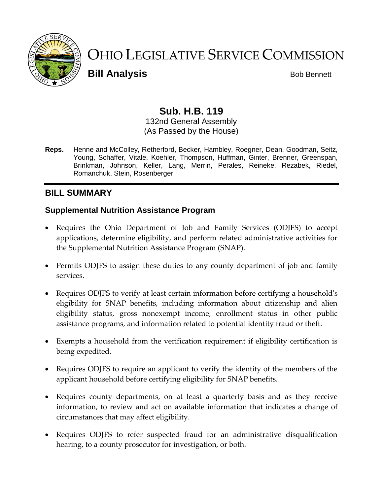

# OHIO LEGISLATIVE SERVICE COMMISSION

**Bill Analysis** Bob Bennett

# **Sub. H.B. 119**

132nd General Assembly (As Passed by the House)

**Reps.** Henne and McColley, Retherford, Becker, Hambley, Roegner, Dean, Goodman, Seitz, Young, Schaffer, Vitale, Koehler, Thompson, Huffman, Ginter, Brenner, Greenspan, Brinkman, Johnson, Keller, Lang, Merrin, Perales, Reineke, Rezabek, Riedel, Romanchuk, Stein, Rosenberger

# **BILL SUMMARY**

#### **Supplemental Nutrition Assistance Program**

- Requires the Ohio Department of Job and Family Services (ODJFS) to accept applications, determine eligibility, and perform related administrative activities for the Supplemental Nutrition Assistance Program (SNAP).
- Permits ODJFS to assign these duties to any county department of job and family services.
- Requires ODJFS to verify at least certain information before certifying a household's eligibility for SNAP benefits, including information about citizenship and alien eligibility status, gross nonexempt income, enrollment status in other public assistance programs, and information related to potential identity fraud or theft.
- Exempts a household from the verification requirement if eligibility certification is being expedited.
- Requires ODJFS to require an applicant to verify the identity of the members of the applicant household before certifying eligibility for SNAP benefits.
- Requires county departments, on at least a quarterly basis and as they receive information, to review and act on available information that indicates a change of circumstances that may affect eligibility.
- Requires ODJFS to refer suspected fraud for an administrative disqualification hearing, to a county prosecutor for investigation, or both.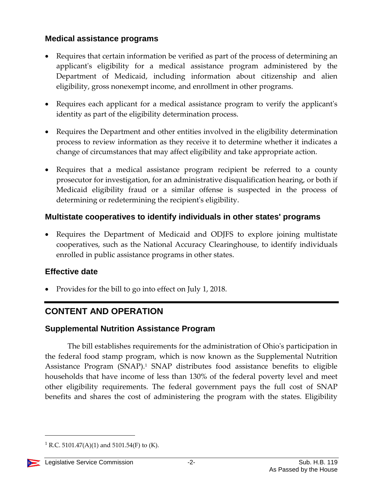### **Medical assistance programs**

- Requires that certain information be verified as part of the process of determining an applicant's eligibility for a medical assistance program administered by the Department of Medicaid, including information about citizenship and alien eligibility, gross nonexempt income, and enrollment in other programs.
- Requires each applicant for a medical assistance program to verify the applicant's identity as part of the eligibility determination process.
- Requires the Department and other entities involved in the eligibility determination process to review information as they receive it to determine whether it indicates a change of circumstances that may affect eligibility and take appropriate action.
- Requires that a medical assistance program recipient be referred to a county prosecutor for investigation, for an administrative disqualification hearing, or both if Medicaid eligibility fraud or a similar offense is suspected in the process of determining or redetermining the recipient's eligibility.

# **Multistate cooperatives to identify individuals in other states' programs**

 Requires the Department of Medicaid and ODJFS to explore joining multistate cooperatives, such as the National Accuracy Clearinghouse, to identify individuals enrolled in public assistance programs in other states.

### **Effective date**

Provides for the bill to go into effect on July 1, 2018.

# **CONTENT AND OPERATION**

# **Supplemental Nutrition Assistance Program**

The bill establishes requirements for the administration of Ohio's participation in the federal food stamp program, which is now known as the Supplemental Nutrition Assistance Program (SNAP).<sup>1</sup> SNAP distributes food assistance benefits to eligible households that have income of less than 130% of the federal poverty level and meet other eligibility requirements. The federal government pays the full cost of SNAP benefits and shares the cost of administering the program with the states. Eligibility

<sup>&</sup>lt;sup>1</sup> R.C. 5101.47(A)(1) and 5101.54(F) to (K).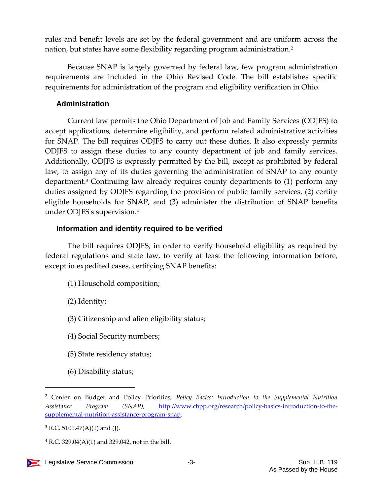rules and benefit levels are set by the federal government and are uniform across the nation, but states have some flexibility regarding program administration.<sup>2</sup>

Because SNAP is largely governed by federal law, few program administration requirements are included in the Ohio Revised Code. The bill establishes specific requirements for administration of the program and eligibility verification in Ohio.

#### **Administration**

Current law permits the Ohio Department of Job and Family Services (ODJFS) to accept applications, determine eligibility, and perform related administrative activities for SNAP. The bill requires ODJFS to carry out these duties. It also expressly permits ODJFS to assign these duties to any county department of job and family services. Additionally, ODJFS is expressly permitted by the bill, except as prohibited by federal law, to assign any of its duties governing the administration of SNAP to any county department.<sup>3</sup> Continuing law already requires county departments to (1) perform any duties assigned by ODJFS regarding the provision of public family services, (2) certify eligible households for SNAP, and (3) administer the distribution of SNAP benefits under ODJFS's supervision.<sup>4</sup>

#### **Information and identity required to be verified**

The bill requires ODJFS, in order to verify household eligibility as required by federal regulations and state law, to verify at least the following information before, except in expedited cases, certifying SNAP benefits:

- (1) Household composition;
- (2) Identity;
- (3) Citizenship and alien eligibility status;
- (4) Social Security numbers;
- (5) State residency status;
- (6) Disability status;

<sup>2</sup> Center on Budget and Policy Priorities, *Policy Basics: Introduction to the Supplemental Nutrition Assistance Program (SNAP)*, [http://www.cbpp.org/research/policy-basics-introduction-to-the](http://www.cbpp.org/research/policy-basics-introduction-to-the-supplemental-nutrition-assistance-program-snap)[supplemental-nutrition-assistance-program-snap.](http://www.cbpp.org/research/policy-basics-introduction-to-the-supplemental-nutrition-assistance-program-snap)

 $3$  R.C. 5101.47(A)(1) and (J).

 $4$  R.C. 329.04(A)(1) and 329.042, not in the bill.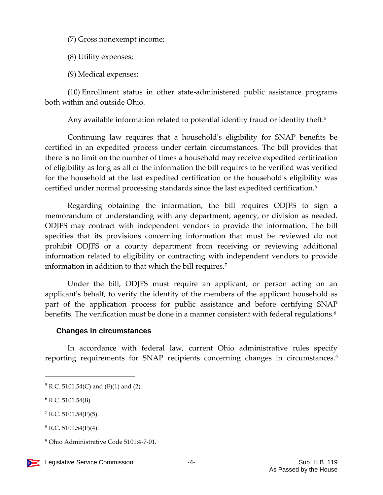(7) Gross nonexempt income;

(8) Utility expenses;

(9) Medical expenses;

(10) Enrollment status in other state-administered public assistance programs both within and outside Ohio.

Any available information related to potential identity fraud or identity theft.<sup>5</sup>

Continuing law requires that a household's eligibility for SNAP benefits be certified in an expedited process under certain circumstances. The bill provides that there is no limit on the number of times a household may receive expedited certification of eligibility as long as all of the information the bill requires to be verified was verified for the household at the last expedited certification or the household's eligibility was certified under normal processing standards since the last expedited certification.<sup>6</sup>

Regarding obtaining the information, the bill requires ODJFS to sign a memorandum of understanding with any department, agency, or division as needed. ODJFS may contract with independent vendors to provide the information. The bill specifies that its provisions concerning information that must be reviewed do not prohibit ODJFS or a county department from receiving or reviewing additional information related to eligibility or contracting with independent vendors to provide information in addition to that which the bill requires.<sup>7</sup>

Under the bill, ODJFS must require an applicant, or person acting on an applicant's behalf, to verify the identity of the members of the applicant household as part of the application process for public assistance and before certifying SNAP benefits. The verification must be done in a manner consistent with federal regulations.<sup>8</sup>

#### **Changes in circumstances**

In accordance with federal law, current Ohio administrative rules specify reporting requirements for SNAP recipients concerning changes in circumstances.<sup>9</sup>

<sup>9</sup> Ohio Administrative Code 5101:4-7-01.



 $5$  R.C. 5101.54(C) and (F)(1) and (2).

 $6$  R.C. 5101.54(B).

 $7 R.C. 5101.54(F)(5)$ .

 $8$  R.C. 5101.54(F)(4).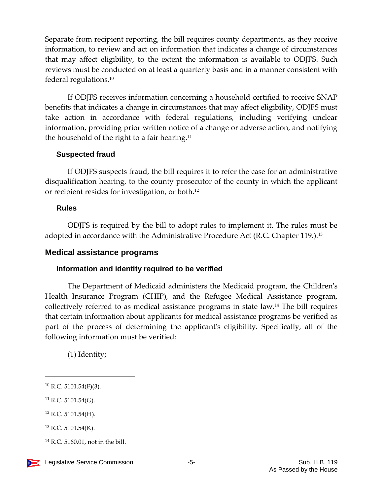Separate from recipient reporting, the bill requires county departments, as they receive information, to review and act on information that indicates a change of circumstances that may affect eligibility, to the extent the information is available to ODJFS. Such reviews must be conducted on at least a quarterly basis and in a manner consistent with federal regulations.<sup>10</sup>

If ODJFS receives information concerning a household certified to receive SNAP benefits that indicates a change in circumstances that may affect eligibility, ODJFS must take action in accordance with federal regulations, including verifying unclear information, providing prior written notice of a change or adverse action, and notifying the household of the right to a fair hearing.<sup>11</sup>

#### **Suspected fraud**

If ODJFS suspects fraud, the bill requires it to refer the case for an administrative disqualification hearing, to the county prosecutor of the county in which the applicant or recipient resides for investigation, or both.<sup>12</sup>

#### **Rules**

ODJFS is required by the bill to adopt rules to implement it. The rules must be adopted in accordance with the Administrative Procedure Act (R.C. Chapter 119.).<sup>13</sup>

#### **Medical assistance programs**

#### **Information and identity required to be verified**

The Department of Medicaid administers the Medicaid program, the Children's Health Insurance Program (CHIP), and the Refugee Medical Assistance program, collectively referred to as medical assistance programs in state law.<sup>14</sup> The bill requires that certain information about applicants for medical assistance programs be verified as part of the process of determining the applicant's eligibility. Specifically, all of the following information must be verified:

(1) Identity;

- $12$  R.C. 5101.54(H).
- $13$  R.C. 5101.54(K).

 $10$  R.C. 5101.54(F)(3).

 $^{11}$  R.C. 5101.54(G).

 $14$  R.C. 5160.01, not in the bill.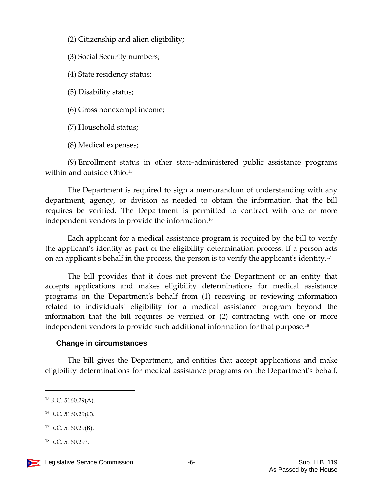- (2) Citizenship and alien eligibility;
- (3) Social Security numbers;
- (4) State residency status;
- (5) Disability status;
- (6) Gross nonexempt income;
- (7) Household status;
- (8) Medical expenses;

(9) Enrollment status in other state-administered public assistance programs within and outside Ohio.<sup>15</sup>

The Department is required to sign a memorandum of understanding with any department, agency, or division as needed to obtain the information that the bill requires be verified. The Department is permitted to contract with one or more independent vendors to provide the information.<sup>16</sup>

Each applicant for a medical assistance program is required by the bill to verify the applicant's identity as part of the eligibility determination process. If a person acts on an applicant's behalf in the process, the person is to verify the applicant's identity.<sup>17</sup>

The bill provides that it does not prevent the Department or an entity that accepts applications and makes eligibility determinations for medical assistance programs on the Department's behalf from (1) receiving or reviewing information related to individuals' eligibility for a medical assistance program beyond the information that the bill requires be verified or (2) contracting with one or more independent vendors to provide such additional information for that purpose.<sup>18</sup>

#### **Change in circumstances**

The bill gives the Department, and entities that accept applications and make eligibility determinations for medical assistance programs on the Department's behalf,

 $16$  R.C. 5160.29(C).

 $18$  R.C. 5160.293.

 $15$  R.C. 5160.29(A).

<sup>17</sup> R.C. 5160.29(B).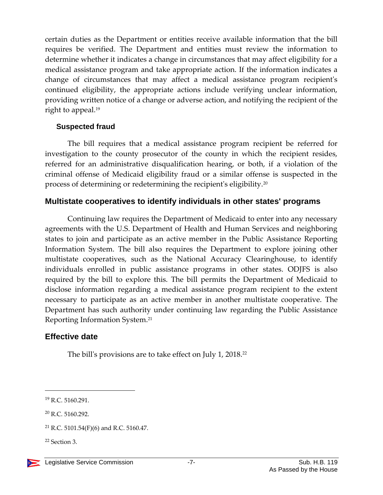certain duties as the Department or entities receive available information that the bill requires be verified. The Department and entities must review the information to determine whether it indicates a change in circumstances that may affect eligibility for a medical assistance program and take appropriate action. If the information indicates a change of circumstances that may affect a medical assistance program recipient's continued eligibility, the appropriate actions include verifying unclear information, providing written notice of a change or adverse action, and notifying the recipient of the right to appeal.<sup>19</sup>

#### **Suspected fraud**

The bill requires that a medical assistance program recipient be referred for investigation to the county prosecutor of the county in which the recipient resides, referred for an administrative disqualification hearing, or both, if a violation of the criminal offense of Medicaid eligibility fraud or a similar offense is suspected in the process of determining or redetermining the recipient's eligibility.<sup>20</sup>

#### **Multistate cooperatives to identify individuals in other states' programs**

Continuing law requires the Department of Medicaid to enter into any necessary agreements with the U.S. Department of Health and Human Services and neighboring states to join and participate as an active member in the Public Assistance Reporting Information System. The bill also requires the Department to explore joining other multistate cooperatives, such as the National Accuracy Clearinghouse, to identify individuals enrolled in public assistance programs in other states. ODJFS is also required by the bill to explore this. The bill permits the Department of Medicaid to disclose information regarding a medical assistance program recipient to the extent necessary to participate as an active member in another multistate cooperative. The Department has such authority under continuing law regarding the Public Assistance Reporting Information System.<sup>21</sup>

### **Effective date**

The bill's provisions are to take effect on July 1, 2018.<sup>22</sup>

<sup>19</sup> R.C. 5160.291.

<sup>20</sup> R.C. 5160.292.

<sup>&</sup>lt;sup>21</sup> R.C. 5101.54(F)(6) and R.C. 5160.47.

 $22$  Section 3.